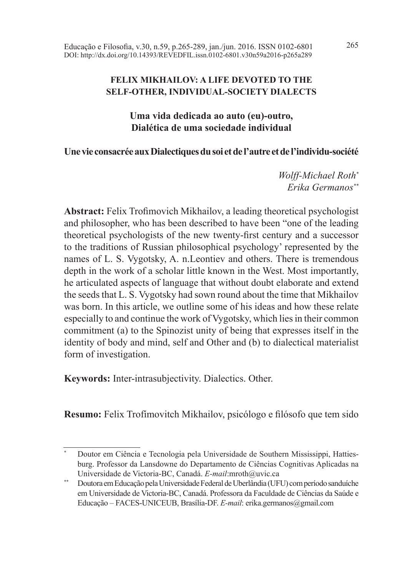Educação e Filosofia, v.30, n.59, p.265-289, jan./jun. 2016. ISSN 0102-6801 265 DOI: http://dx.doi.org/10.14393/REVEDFIL.issn.0102-6801.v30n59a2016-p265a289

### **FELIX MIKHAILOV: A LIFE DEVOTED TO THE SELF-OTHER, INDIVIDUAL-SOCIETY DIALECTS**

**Uma vida dedicada ao auto (eu)-outro, Dialética de uma sociedade individual**

### **Une vie consacrée aux Dialectiques du soi et de l'autre et de l'individu-société**

*Wolff-Michael Roth\* Erika Germanos\*\**

**Abstract:** Felix Trofimovich Mikhailov, a leading theoretical psychologist and philosopher, who has been described to have been "one of the leading theoretical psychologists of the new twenty-first century and a successor to the traditions of Russian philosophical psychology' represented by the names of L. S. Vygotsky, A. n.Leontiev and others. There is tremendous depth in the work of a scholar little known in the West. Most importantly, he articulated aspects of language that without doubt elaborate and extend the seeds that L. S. Vygotsky had sown round about the time that Mikhailov was born. In this article, we outline some of his ideas and how these relate especially to and continue the work of Vygotsky, which lies in their common commitment (a) to the Spinozist unity of being that expresses itself in the identity of body and mind, self and Other and (b) to dialectical materialist form of investigation.

**Keywords:** Inter-intrasubjectivity. Dialectics. Other.

**Resumo:** Felix Trofímovitch Mikhailov, psicólogo e filósofo que tem sido

<sup>\*</sup> Doutor em Ciência e Tecnologia pela Universidade de Southern Mississippi, Hattiesburg. Professor da Lansdowne do Departamento de Ciências Cognitivas Aplicadas na Universidade de Victoria-BC, Canadá. *E-mail*:mroth@uvic.ca

<sup>\*\*</sup> Doutora em Educação pela Universidade Federal de Uberlândia (UFU) com período sanduíche em Universidade de Victoria-BC, Canadá. Professora da Faculdade de Ciências da Saúde e Educação – FACES-UNICEUB, Brasília-DF. *E-mail*: erika.germanos@gmail.com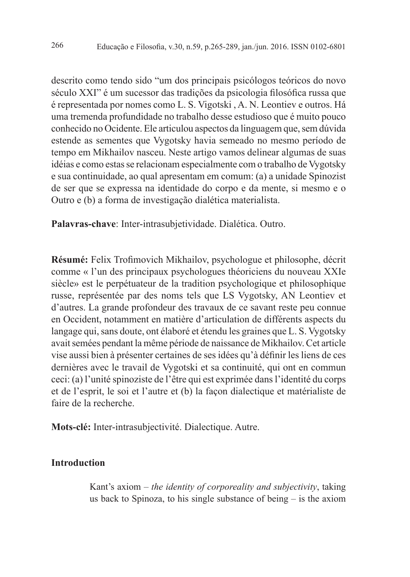descrito como tendo sido "um dos principais psicólogos teóricos do novo século XXI" é um sucessor das tradições da psicologia filosófica russa que é representada por nomes como L. S. Vigotski , A. N. Leontiev e outros. Há uma tremenda profundidade no trabalho desse estudioso que é muito pouco conhecido no Ocidente. Ele articulou aspectos da linguagem que, sem dúvida estende as sementes que Vygotsky havia semeado no mesmo período de tempo em Mikhailov nasceu. Neste artigo vamos delinear algumas de suas idéias e como estas se relacionam especialmente com o trabalho de Vygotsky e sua continuidade, ao qual apresentam em comum: (a) a unidade Spinozist de ser que se expressa na identidade do corpo e da mente, si mesmo e o Outro e (b) a forma de investigação dialética materialista.

**Palavras-chave**: Inter-intrasubjetividade. Dialética. Outro.

Résumé: Felix Trofimovich Mikhailov, psychologue et philosophe, décrit comme « l'un des principaux psychologues théoriciens du nouveau XXIe siècle» est le perpétuateur de la tradition psychologique et philosophique russe, représentée par des noms tels que LS Vygotsky, AN Leontiev et d'autres. La grande profondeur des travaux de ce savant reste peu connue en Occident, notamment en matière d'articulation de différents aspects du langage qui, sans doute, ont élaboré et étendu les graines que L. S. Vygotsky avait semées pendant la même période de naissance de Mikhailov. Cet article vise aussi bien à présenter certaines de ses idées qu'à définir les liens de ces dernières avec le travail de Vygotski et sa continuité, qui ont en commun ceci: (a) l'unité spinoziste de l'être qui est exprimée dans l'identité du corps et de l'esprit, le soi et l'autre et (b) la façon dialectique et matérialiste de faire de la recherche.

**Mots-clé:** Inter-intrasubjectivité. Dialectique. Autre.

### **Introduction**

Kant's axiom – *the identity of corporeality and subjectivity*, taking us back to Spinoza, to his single substance of being – is the axiom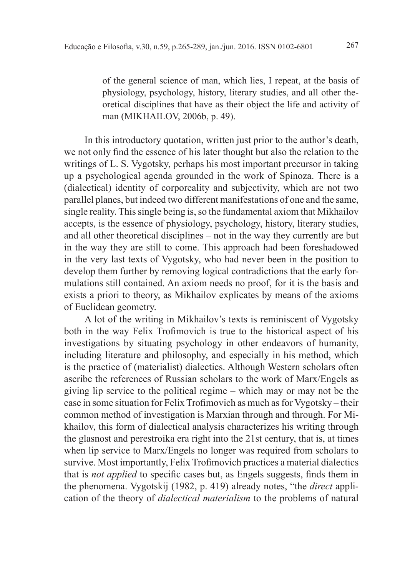of the general science of man, which lies, I repeat, at the basis of physiology, psychology, history, literary studies, and all other theoretical disciplines that have as their object the life and activity of man (MIKHAILOV, 2006b, p. 49).

In this introductory quotation, written just prior to the author's death, we not only find the essence of his later thought but also the relation to the writings of L. S. Vygotsky, perhaps his most important precursor in taking up a psychological agenda grounded in the work of Spinoza. There is a (dialectical) identity of corporeality and subjectivity, which are not two parallel planes, but indeed two different manifestations of one and the same, single reality. This single being is, so the fundamental axiom that Mikhailov accepts, is the essence of physiology, psychology, history, literary studies, and all other theoretical disciplines – not in the way they currently are but in the way they are still to come. This approach had been foreshadowed in the very last texts of Vygotsky, who had never been in the position to develop them further by removing logical contradictions that the early formulations still contained. An axiom needs no proof, for it is the basis and exists a priori to theory, as Mikhailov explicates by means of the axioms of Euclidean geometry.

A lot of the writing in Mikhailov's texts is reminiscent of Vygotsky both in the way Felix Trofimovich is true to the historical aspect of his investigations by situating psychology in other endeavors of humanity, including literature and philosophy, and especially in his method, which is the practice of (materialist) dialectics. Although Western scholars often ascribe the references of Russian scholars to the work of Marx/Engels as giving lip service to the political regime – which may or may not be the case in some situation for Felix Trofimovich as much as for Vygotsky – their common method of investigation is Marxian through and through. For Mikhailov, this form of dialectical analysis characterizes his writing through the glasnost and perestroika era right into the 21st century, that is, at times when lip service to Marx/Engels no longer was required from scholars to survive. Most importantly, Felix Trofimovich practices a material dialectics that is *not applied* to specific cases but, as Engels suggests, finds them in the phenomena. Vygotskij (1982, p. 419) already notes, "the *direct* application of the theory of *dialectical materialism* to the problems of natural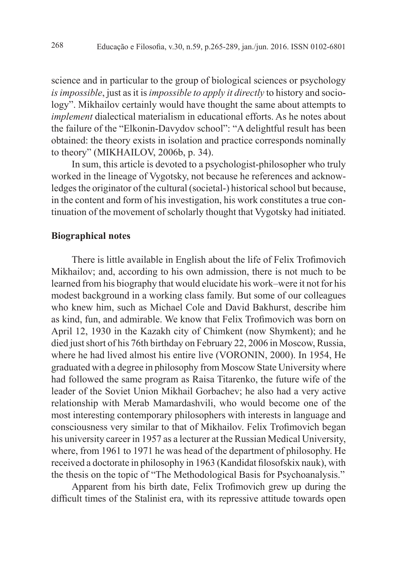science and in particular to the group of biological sciences or psychology *is impossible*, just as it is *impossible to apply it directly* to history and sociology". Mikhailov certainly would have thought the same about attempts to *implement* dialectical materialism in educational efforts. As he notes about the failure of the "Elkonin-Davydov school": "A delightful result has been obtained: the theory exists in isolation and practice corresponds nominally to theory" (MIKHAILOV, 2006b, p. 34).

In sum, this article is devoted to a psychologist-philosopher who truly worked in the lineage of Vygotsky, not because he references and acknowledges the originator of the cultural (societal-) historical school but because, in the content and form of his investigation, his work constitutes a true continuation of the movement of scholarly thought that Vygotsky had initiated.

#### **Biographical notes**

There is little available in English about the life of Felix Trofi movich Mikhailov; and, according to his own admission, there is not much to be learned from his biography that would elucidate his work–were it not for his modest background in a working class family. But some of our colleagues who knew him, such as Michael Cole and David Bakhurst, describe him as kind, fun, and admirable. We know that Felix Trofi movich was born on April 12, 1930 in the Kazakh city of Chimkent (now Shymkent); and he died just short of his 76th birthday on February 22, 2006 in Moscow, Russia, where he had lived almost his entire live (VORONIN, 2000). In 1954, He graduated with a degree in philosophy from Moscow State University where had followed the same program as Raisa Titarenko, the future wife of the leader of the Soviet Union Mikhail Gorbachev; he also had a very active relationship with Merab Mamardashvili, who would become one of the most interesting contemporary philosophers with interests in language and consciousness very similar to that of Mikhailov. Felix Trofimovich began his university career in 1957 as a lecturer at the Russian Medical University, where, from 1961 to 1971 he was head of the department of philosophy. He received a doctorate in philosophy in 1963 (Kandidat filosofskix nauk), with the thesis on the topic of "The Methodological Basis for Psychoanalysis."

Apparent from his birth date, Felix Trofimovich grew up during the difficult times of the Stalinist era, with its repressive attitude towards open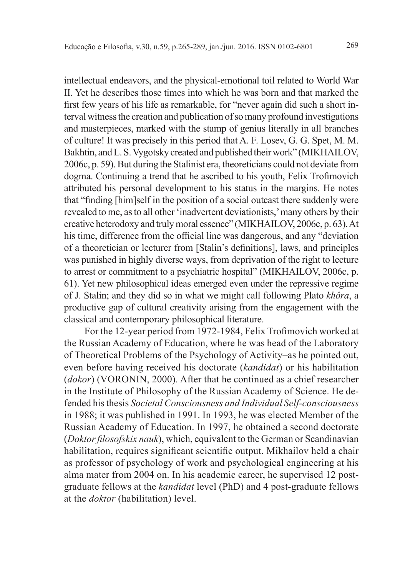intellectual endeavors, and the physical-emotional toil related to World War II. Yet he describes those times into which he was born and that marked the first few years of his life as remarkable, for "never again did such a short interval witness the creation and publication of so many profound investigations and masterpieces, marked with the stamp of genius literally in all branches of culture! It was precisely in this period that A. F. Losev, G. G. Spet, M. M. Bakhtin, and L. S. Vygotsky created and published their work" (MIKHAILOV, 2006c, p. 59). But during the Stalinist era, theoreticians could not deviate from dogma. Continuing a trend that he ascribed to his youth, Felix Trofimovich attributed his personal development to his status in the margins. He notes that "finding [him]self in the position of a social outcast there suddenly were revealed to me, as to all other 'inadvertent deviationists,' many others by their creative heterodoxy and truly moral essence" (MIKHAILOV, 2006c, p. 63). At his time, difference from the official line was dangerous, and any "deviation" of a theoretician or lecturer from [Stalin's definitions], laws, and principles was punished in highly diverse ways, from deprivation of the right to lecture to arrest or commitment to a psychiatric hospital" (MIKHAILOV, 2006c, p. 61). Yet new philosophical ideas emerged even under the repressive regime of J. Stalin; and they did so in what we might call following Plato *khôra*, a productive gap of cultural creativity arising from the engagement with the classical and contemporary philosophical literature.

For the 12-year period from 1972-1984, Felix Trofimovich worked at the Russian Academy of Education, where he was head of the Laboratory of Theoretical Problems of the Psychology of Activity–as he pointed out, even before having received his doctorate (*kandidat*) or his habilitation (*dokor*) (VORONIN, 2000). After that he continued as a chief researcher in the Institute of Philosophy of the Russian Academy of Science. He defended his thesis *Societal Consciousness and Individual Self-consciousness* in 1988; it was published in 1991. In 1993, he was elected Member of the Russian Academy of Education. In 1997, he obtained a second doctorate (*Doktor filosofskix nauk*), which, equivalent to the German or Scandinavian habilitation, requires significant scientific output. Mikhailov held a chair as professor of psychology of work and psychological engineering at his alma mater from 2004 on. In his academic career, he supervised 12 postgraduate fellows at the *kandidat* level (PhD) and 4 post-graduate fellows at the *doktor* (habilitation) level.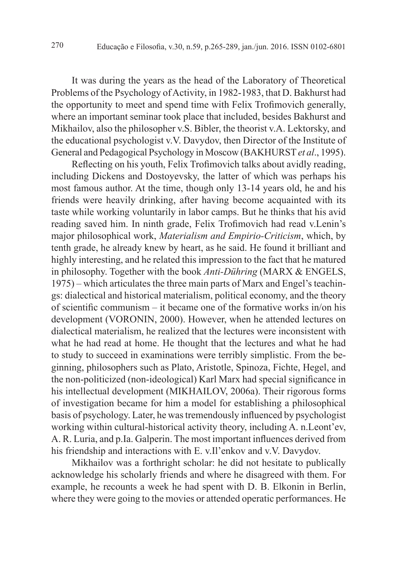It was during the years as the head of the Laboratory of Theoretical Problems of the Psychology of Activity, in 1982-1983, that D. Bakhurst had the opportunity to meet and spend time with Felix Trofi movich generally, where an important seminar took place that included, besides Bakhurst and Mikhailov, also the philosopher v.S. Bibler, the theorist v.A. Lektorsky, and the educational psychologist v.V. Davydov, then Director of the Institute of General and Pedagogical Psychology in Moscow (BAKHURST *et al*., 1995).

Reflecting on his youth, Felix Trofi movich talks about avidly reading, including Dickens and Dostoyevsky, the latter of which was perhaps his most famous author. At the time, though only 13-14 years old, he and his friends were heavily drinking, after having become acquainted with its taste while working voluntarily in labor camps. But he thinks that his avid reading saved him. In ninth grade, Felix Trofimovich had read v.Lenin's major philosophical work, *Materialism and Empirio-Criticism*, which, by tenth grade, he already knew by heart, as he said. He found it brilliant and highly interesting, and he related this impression to the fact that he matured in philosophy. Together with the book *Anti-Dühring* (MARX & ENGELS, 1975) – which articulates the three main parts of Marx and Engel's teachings: dialectical and historical materialism, political economy, and the theory of scientific communism – it became one of the formative works in/on his development (VORONIN, 2000). However, when he attended lectures on dialectical materialism, he realized that the lectures were inconsistent with what he had read at home. He thought that the lectures and what he had to study to succeed in examinations were terribly simplistic. From the beginning, philosophers such as Plato, Aristotle, Spinoza, Fichte, Hegel, and the non-politicized (non-ideological) Karl Marx had special significance in his intellectual development (MIKHAILOV, 2006a). Their rigorous forms of investigation became for him a model for establishing a philosophical basis of psychology. Later, he was tremendously influenced by psychologist working within cultural-historical activity theory, including A. n.Leont'ev, A. R. Luria, and p.Ia. Galperin. The most important influences derived from his friendship and interactions with E. v.Il'enkov and v.V. Davydov.

Mikhailov was a forthright scholar: he did not hesitate to publically acknowledge his scholarly friends and where he disagreed with them. For example, he recounts a week he had spent with D. B. Elkonin in Berlin, where they were going to the movies or attended operatic performances. He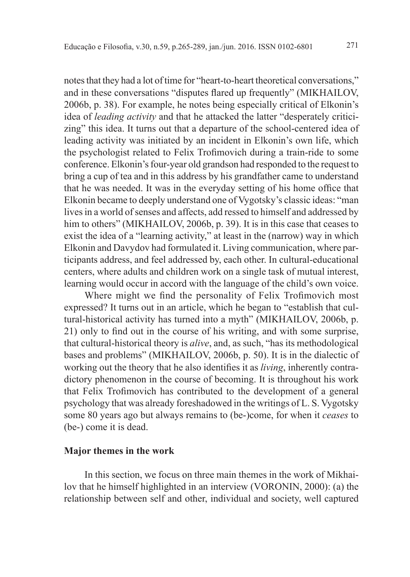notes that they had a lot of time for "heart-to-heart theoretical conversations," and in these conversations "disputes flared up frequently" (MIKHAILOV, 2006b, p. 38). For example, he notes being especially critical of Elkonin's idea of *leading activity* and that he attacked the latter "desperately criticizing" this idea. It turns out that a departure of the school-centered idea of leading activity was initiated by an incident in Elkonin's own life, which the psychologist related to Felix Trofimovich during a train-ride to some conference. Elkonin's four-year old grandson had responded to the request to bring a cup of tea and in this address by his grandfather came to understand that he was needed. It was in the everyday setting of his home office that Elkonin became to deeply understand one of Vygotsky's classic ideas: "man lives in a world of senses and affects, add ressed to himself and addressed by him to others" (MIKHAILOV, 2006b, p. 39). It is in this case that ceases to exist the idea of a "learning activity," at least in the (narrow) way in which Elkonin and Davydov had formulated it. Living communication, where participants address, and feel addressed by, each other. In cultural-educational centers, where adults and children work on a single task of mutual interest, learning would occur in accord with the language of the child's own voice.

Where might we find the personality of Felix Trofi movich most expressed? It turns out in an article, which he began to "establish that cultural-historical activity has turned into a myth" (MIKHAILOV, 2006b, p. 21) only to find out in the course of his writing, and with some surprise, that cultural-historical theory is *alive*, and, as such, "has its methodological bases and problems" (MIKHAILOV, 2006b, p. 50). It is in the dialectic of working out the theory that he also identifies it as *living*, inherently contradictory phenomenon in the course of becoming. It is throughout his work that Felix Trofi movich has contributed to the development of a general psychology that was already foreshadowed in the writings of L. S. Vygotsky some 80 years ago but always remains to (be-)come, for when it *ceases* to (be-) come it is dead.

#### **Major themes in the work**

In this section, we focus on three main themes in the work of Mikhailov that he himself highlighted in an interview (VORONIN, 2000): (a) the relationship between self and other, individual and society, well captured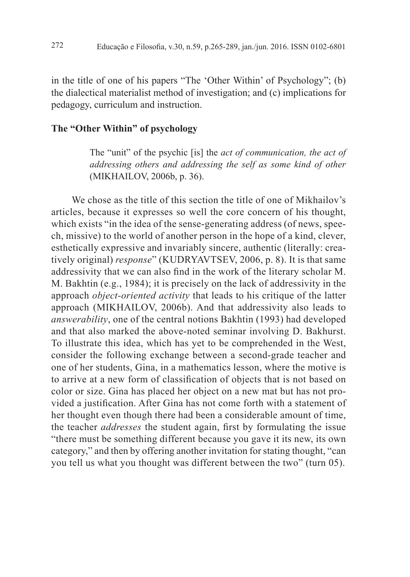in the title of one of his papers "The 'Other Within' of Psychology"; (b) the dialectical materialist method of investigation; and (c) implications for pedagogy, curriculum and instruction.

# **The "Other Within" of psychology**

The "unit" of the psychic [is] the *act of communication, the act of addressing others and addressing the self as some kind of other* (MIKHAILOV, 2006b, p. 36).

We chose as the title of this section the title of one of Mikhailov's articles, because it expresses so well the core concern of his thought, which exists "in the idea of the sense-generating address (of news, speech, missive) to the world of another person in the hope of a kind, clever, esthetically expressive and invariably sincere, authentic (literally: creatively original) *response*" (KUDRYAVTSEV, 2006, p. 8). It is that same addressivity that we can also find in the work of the literary scholar M. M. Bakhtin (e.g., 1984); it is precisely on the lack of addressivity in the approach *object-oriented activity* that leads to his critique of the latter approach (MIKHAILOV, 2006b). And that addressivity also leads to *answerability*, one of the central notions Bakhtin (1993) had developed and that also marked the above-noted seminar involving D. Bakhurst. To illustrate this idea, which has yet to be comprehended in the West, consider the following exchange between a second-grade teacher and one of her students, Gina, in a mathematics lesson, where the motive is to arrive at a new form of classification of objects that is not based on color or size. Gina has placed her object on a new mat but has not provided a justification. After Gina has not come forth with a statement of her thought even though there had been a considerable amount of time, the teacher *addresses* the student again, first by formulating the issue "there must be something different because you gave it its new, its own category," and then by offering another invitation for stating thought, "can you tell us what you thought was different between the two" (turn 05).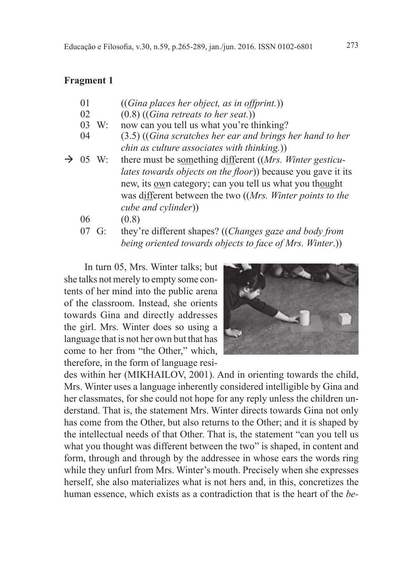### **Fragment 1**

- 01 ((*Gina places her object, as in offprint.*))
- 02 (0.8) ((*Gina retreats to her seat.*))
- 03 W: now can you tell us what you're thinking?
- 04 (3.5) ((*Gina scratches her ear and brings her hand to her chin as culture associates with thinking.*))
- 05 W: there must be something different ((*Mrs. Winter gesticulates towards objects on the floor*) because you gave it its new, its own category; can you tell us what you thought was different between the two ((*Mrs. Winter points to the cube and cylinder*))
	- 06 (0.8)
	- 07 G: they're different shapes? ((*Changes gaze and body from being oriented towards objects to face of Mrs. Winter*.))

In turn 05, Mrs. Winter talks; but she talks not merely to empty some contents of her mind into the public arena of the classroom. Instead, she orients towards Gina and directly addresses the girl. Mrs. Winter does so using a language that is not her own but that has come to her from "the Other," which, therefore, in the form of language resi-



des within her (MIKHAILOV, 2001). And in orienting towards the child, Mrs. Winter uses a language inherently considered intelligible by Gina and her classmates, for she could not hope for any reply unless the children understand. That is, the statement Mrs. Winter directs towards Gina not only has come from the Other, but also returns to the Other; and it is shaped by the intellectual needs of that Other. That is, the statement "can you tell us what you thought was different between the two" is shaped, in content and form, through and through by the addressee in whose ears the words ring while they unfurl from Mrs. Winter's mouth. Precisely when she expresses herself, she also materializes what is not hers and, in this, concretizes the human essence, which exists as a contradiction that is the heart of the *be-*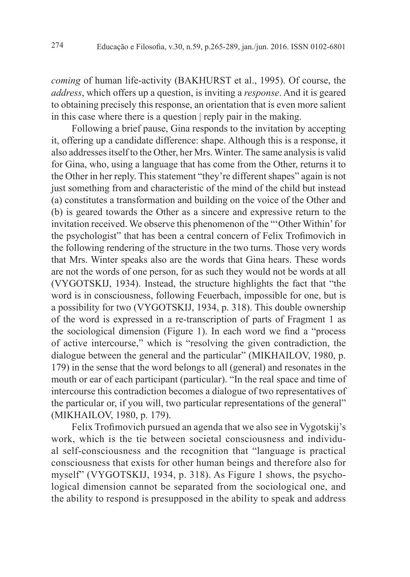*coming* of human life-activity (BAKHURST et al., 1995). Of course, the *address*, which offers up a question, is inviting a *response*. And it is geared to obtaining precisely this response, an orientation that is even more salient in this case where there is a question | reply pair in the making.

Following a brief pause, Gina responds to the invitation by accepting it, offering up a candidate difference: shape. Although this is a response, it also addresses itself to the Other, her Mrs. Winter. The same analysis is valid for Gina, who, using a language that has come from the Other, returns it to the Other in her reply. This statement "they're different shapes" again is not just something from and characteristic of the mind of the child but instead (a) constitutes a transformation and building on the voice of the Other and (b) is geared towards the Other as a sincere and expressive return to the invitation received. We observe this phenomenon of the "'Other Within' for the psychologist" that has been a central concern of Felix Trofi movich in the following rendering of the structure in the two turns. Those very words that Mrs. Winter speaks also are the words that Gina hears. These words are not the words of one person, for as such they would not be words at all (VYGOTSKIJ, 1934). Instead, the structure highlights the fact that "the word is in consciousness, following Feuerbach, impossible for one, but is a possibility for two (VYGOTSKIJ, 1934, p. 318). This double ownership of the word is expressed in a re-transcription of parts of Fragment 1 as the sociological dimension (Figure 1). In each word we find a "process" of active intercourse," which is "resolving the given contradiction, the dialogue between the general and the particular" (MIKHAILOV, 1980, p. 179) in the sense that the word belongs to all (general) and resonates in the mouth or ear of each participant (particular). "In the real space and time of intercourse this contradiction becomes a dialogue of two representatives of the particular or, if you will, two particular representations of the general" (MIKHAILOV, 1980, p. 179).

Felix Trofimovich pursued an agenda that we also see in Vygotskij's work, which is the tie between societal consciousness and individual self-consciousness and the recognition that "language is practical consciousness that exists for other human beings and therefore also for myself" (VYGOTSKIJ, 1934, p. 318). As Figure 1 shows, the psychological dimension cannot be separated from the sociological one, and the ability to respond is presupposed in the ability to speak and address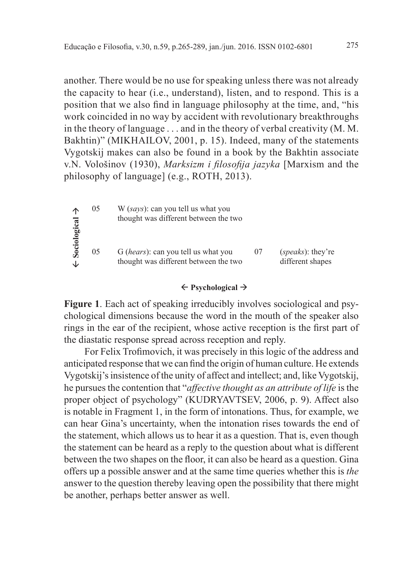another. There would be no use for speaking unless there was not already the capacity to hear (i.e., understand), listen, and to respond. This is a position that we also find in language philosophy at the time, and, "his work coincided in no way by accident with revolutionary breakthroughs in the theory of language . . . and in the theory of verbal creativity (M. M. Bakhtin)" (MIKHAILOV, 2001, p. 15). Indeed, many of the statements Vygotskij makes can also be found in a book by the Bakhtin associate v.N. Vološinov (1930), *Marksizm i filosofija jazyka* [Marxism and the philosophy of language] (e.g., ROTH, 2013).

| ∧<br>Sociological<br>↓ | 05 | W (says): can you tell us what you<br>thought was different between the two           |    |                                                |
|------------------------|----|---------------------------------------------------------------------------------------|----|------------------------------------------------|
|                        | 05 | G ( <i>hears</i> ): can you tell us what you<br>thought was different between the two | 07 | ( <i>speaks</i> ): they're<br>different shapes |

#### **Psychological**

**Figure 1**. Each act of speaking irreducibly involves sociological and psychological dimensions because the word in the mouth of the speaker also rings in the ear of the recipient, whose active reception is the first part of the diastatic response spread across reception and reply.

For Felix Trofi movich, it was precisely in this logic of the address and anticipated response that we can find the origin of human culture. He extends Vygotskij's insistence of the unity of affect and intellect; and, like Vygotskij, he pursues the contention that "*affective thought as an attribute of life* is the proper object of psychology" (KUDRYAVTSEV, 2006, p. 9). Affect also is notable in Fragment 1, in the form of intonations. Thus, for example, we can hear Gina's uncertainty, when the intonation rises towards the end of the statement, which allows us to hear it as a question. That is, even though the statement can be heard as a reply to the question about what is different between the two shapes on the floor, it can also be heard as a question. Gina offers up a possible answer and at the same time queries whether this is *the* answer to the question thereby leaving open the possibility that there might be another, perhaps better answer as well.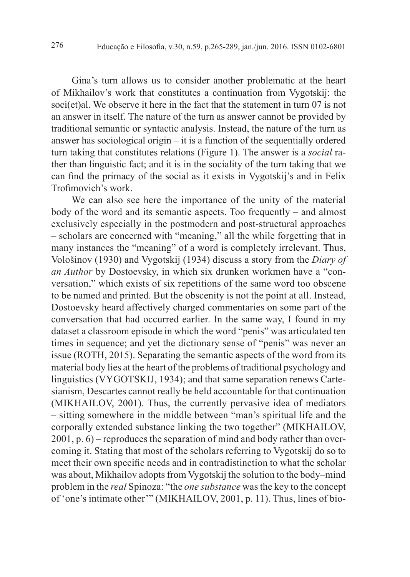Gina's turn allows us to consider another problematic at the heart of Mikhailov's work that constitutes a continuation from Vygotskij: the soci(et)al. We observe it here in the fact that the statement in turn 07 is not an answer in itself. The nature of the turn as answer cannot be provided by traditional semantic or syntactic analysis. Instead, the nature of the turn as answer has sociological origin – it is a function of the sequentially ordered turn taking that constitutes relations (Figure 1). The answer is a *social* rather than linguistic fact; and it is in the sociality of the turn taking that we can find the primacy of the social as it exists in Vygotskij's and in Felix Trofimovich's work.

We can also see here the importance of the unity of the material body of the word and its semantic aspects. Too frequently – and almost exclusively especially in the postmodern and post-structural approaches – scholars are concerned with "meaning," all the while forgetting that in many instances the "meaning" of a word is completely irrelevant. Thus, Vološinov (1930) and Vygotskij (1934) discuss a story from the *Diary of an Author* by Dostoevsky, in which six drunken workmen have a "conversation," which exists of six repetitions of the same word too obscene to be named and printed. But the obscenity is not the point at all. Instead, Dostoevsky heard affectively charged commentaries on some part of the conversation that had occurred earlier. In the same way, I found in my dataset a classroom episode in which the word "penis" was articulated ten times in sequence; and yet the dictionary sense of "penis" was never an issue (ROTH, 2015). Separating the semantic aspects of the word from its material body lies at the heart of the problems of traditional psychology and linguistics (VYGOTSKIJ, 1934); and that same separation renews Cartesianism, Descartes cannot really be held accountable for that continuation (MIKHAILOV, 2001). Thus, the currently pervasive idea of mediators – sitting somewhere in the middle between "man's spiritual life and the corporally extended substance linking the two together" (MIKHAILOV, 2001, p. 6) – reproduces the separation of mind and body rather than overcoming it. Stating that most of the scholars referring to Vygotskij do so to meet their own specific needs and in contradistinction to what the scholar was about, Mikhailov adopts from Vygotskij the solution to the body–mind problem in the *real* Spinoza: "the *one substance* was the key to the concept of 'one's intimate other'" (MIKHAILOV, 2001, p. 11). Thus, lines of bio-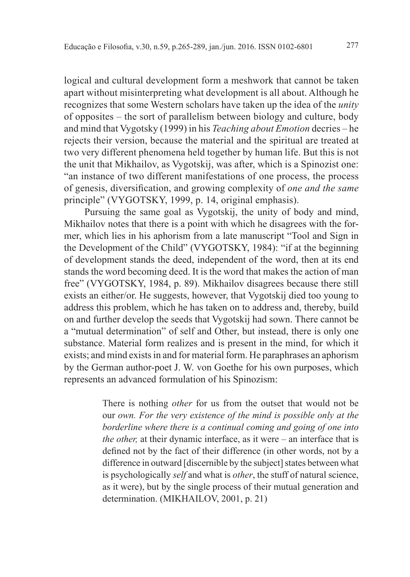logical and cultural development form a meshwork that cannot be taken apart without misinterpreting what development is all about. Although he recognizes that some Western scholars have taken up the idea of the *unity* of opposites – the sort of parallelism between biology and culture, body and mind that Vygotsky (1999) in his *Teaching about Emotion* decries – he rejects their version, because the material and the spiritual are treated at two very different phenomena held together by human life. But this is not the unit that Mikhailov, as Vygotskij, was after, which is a Spinozist one: "an instance of two different manifestations of one process, the process of genesis, diversification, and growing complexity of *one and the same* principle" (VYGOTSKY, 1999, p. 14, original emphasis).

Pursuing the same goal as Vygotskij, the unity of body and mind, Mikhailov notes that there is a point with which he disagrees with the former, which lies in his aphorism from a late manuscript "Tool and Sign in the Development of the Child" (VYGOTSKY, 1984): "if at the beginning of development stands the deed, independent of the word, then at its end stands the word becoming deed. It is the word that makes the action of man free" (VYGOTSKY, 1984, p. 89). Mikhailov disagrees because there still exists an either/or. He suggests, however, that Vygotskij died too young to address this problem, which he has taken on to address and, thereby, build on and further develop the seeds that Vygotskij had sown. There cannot be a "mutual determination" of self and Other, but instead, there is only one substance. Material form realizes and is present in the mind, for which it exists; and mind exists in and for material form. He paraphrases an aphorism by the German author-poet J. W. von Goethe for his own purposes, which represents an advanced formulation of his Spinozism:

> There is nothing *other* for us from the outset that would not be our *own. For the very existence of the mind is possible only at the borderline where there is a continual coming and going of one into the other,* at their dynamic interface, as it were – an interface that is defined not by the fact of their difference (in other words, not by a difference in outward [discernible by the subject] states between what is psychologically *self* and what is *other*, the stuff of natural science, as it were), but by the single process of their mutual generation and determination. (MIKHAILOV, 2001, p. 21)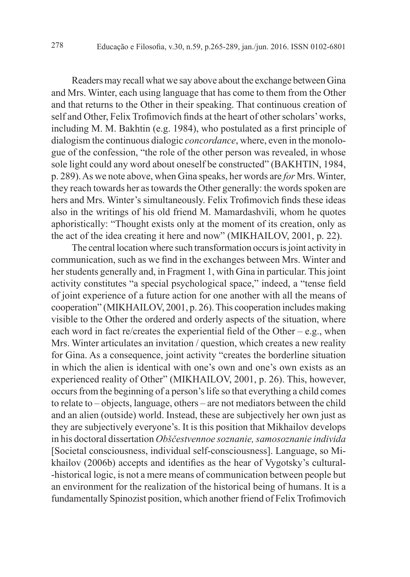Readers may recall what we say above about the exchange between Gina and Mrs. Winter, each using language that has come to them from the Other and that returns to the Other in their speaking. That continuous creation of self and Other, Felix Trofimovich finds at the heart of other scholars' works, including M. M. Bakhtin (e.g. 1984), who postulated as a first principle of dialogism the continuous dialogic *concordance*, where, even in the monologue of the confession, "the role of the other person was revealed, in whose sole light could any word about oneself be constructed" (BAKHTIN, 1984, p. 289). As we note above, when Gina speaks, her words are *for* Mrs. Winter, they reach towards her as towards the Other generally: the words spoken are hers and Mrs. Winter's simultaneously. Felix Trofimovich finds these ideas also in the writings of his old friend M. Mamardashvili, whom he quotes aphoristically: "Thought exists only at the moment of its creation, only as the act of the idea creating it here and now" (MIKHAILOV, 2001, p. 22).

The central location where such transformation occurs is joint activity in communication, such as we find in the exchanges between Mrs. Winter and her students generally and, in Fragment 1, with Gina in particular. This joint activity constitutes "a special psychological space," indeed, a "tense field of joint experience of a future action for one another with all the means of cooperation" (MIKHAILOV, 2001, p. 26). This cooperation includes making visible to the Other the ordered and orderly aspects of the situation, where each word in fact re/creates the experiential field of the Other – e.g., when Mrs. Winter articulates an invitation / question, which creates a new reality for Gina. As a consequence, joint activity "creates the borderline situation in which the alien is identical with one's own and one's own exists as an experienced reality of Other" (MIKHAILOV, 2001, p. 26). This, however, occurs from the beginning of a person's life so that everything a child comes to relate to – objects, language, others – are not mediators between the child and an alien (outside) world. Instead, these are subjectively her own just as they are subjectively everyone's. It is this position that Mikhailov develops in his doctoral dissertation *Obščestvennoe soznanie, samosoznanie individa* [Societal consciousness, individual self-consciousness]. Language, so Mikhailov (2006b) accepts and identifies as the hear of Vygotsky's cultural--historical logic, is not a mere means of communication between people but an environment for the realization of the historical being of humans. It is a fundamentally Spinozist position, which another friend of Felix Trofimovich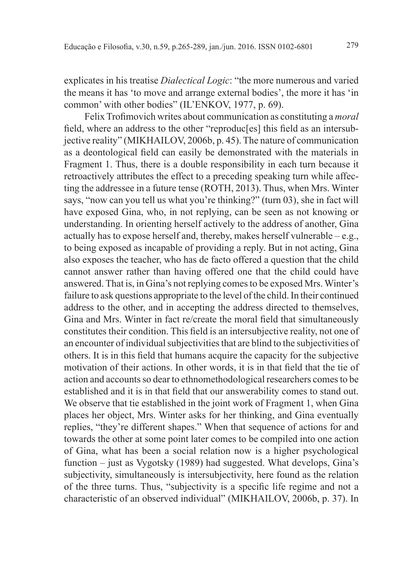explicates in his treatise *Dialectical Logic*: "the more numerous and varied the means it has 'to move and arrange external bodies', the more it has 'in common' with other bodies" (IL'ENKOV, 1977, p. 69).

Felix Trofimovich writes about communication as constituting a *moral* field, where an address to the other "reproduc<sup>[es]</sup> this field as an intersubjective reality" (MIKHAILOV, 2006b, p. 45). The nature of communication as a deontological field can easily be demonstrated with the materials in Fragment 1. Thus, there is a double responsibility in each turn because it retroactively attributes the effect to a preceding speaking turn while affecting the addressee in a future tense (ROTH, 2013). Thus, when Mrs. Winter says, "now can you tell us what you're thinking?" (turn 03), she in fact will have exposed Gina, who, in not replying, can be seen as not knowing or understanding. In orienting herself actively to the address of another, Gina actually has to expose herself and, thereby, makes herself vulnerable – e.g., to being exposed as incapable of providing a reply. But in not acting, Gina also exposes the teacher, who has de facto offered a question that the child cannot answer rather than having offered one that the child could have answered. That is, in Gina's not replying comes to be exposed Mrs. Winter's failure to ask questions appropriate to the level of the child. In their continued address to the other, and in accepting the address directed to themselves, Gina and Mrs. Winter in fact re/create the moral field that simultaneously constitutes their condition. This field is an intersubjective reality, not one of an encounter of individual subjectivities that are blind to the subjectivities of others. It is in this field that humans acquire the capacity for the subjective motivation of their actions. In other words, it is in that field that the tie of action and accounts so dear to ethnomethodological researchers comes to be established and it is in that field that our answerability comes to stand out. We observe that tie established in the joint work of Fragment 1, when Gina places her object, Mrs. Winter asks for her thinking, and Gina eventually replies, "they're different shapes." When that sequence of actions for and towards the other at some point later comes to be compiled into one action of Gina, what has been a social relation now is a higher psychological function – just as Vygotsky (1989) had suggested. What develops, Gina's subjectivity, simultaneously is intersubjectivity, here found as the relation of the three turns. Thus, "subjectivity is a specific life regime and not a characteristic of an observed individual" (MIKHAILOV, 2006b, p. 37). In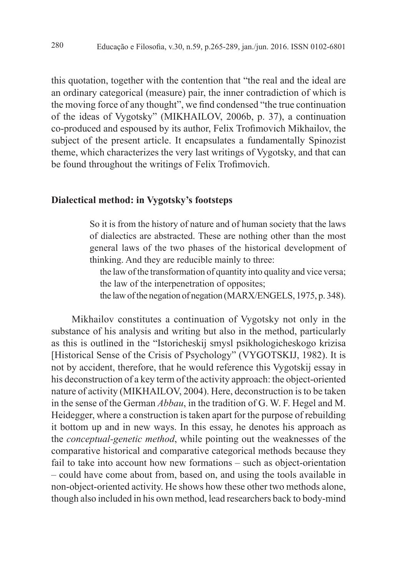this quotation, together with the contention that "the real and the ideal are an ordinary categorical (measure) pair, the inner contradiction of which is the moving force of any thought", we find condensed "the true continuation" of the ideas of Vygotsky" (MIKHAILOV, 2006b, p. 37), a continuation co-produced and espoused by its author, Felix Trofimovich Mikhailov, the subject of the present article. It encapsulates a fundamentally Spinozist theme, which characterizes the very last writings of Vygotsky, and that can be found throughout the writings of Felix Trofimovich.

#### **Dialectical method: in Vygotsky's footsteps**

So it is from the history of nature and of human society that the laws of dialectics are abstracted. These are nothing other than the most general laws of the two phases of the historical development of thinking. And they are reducible mainly to three:

the law of the transformation of quantity into quality and vice versa; the law of the interpenetration of opposites;

the law of the negation of negation (MARX/ENGELS, 1975, p. 348).

Mikhailov constitutes a continuation of Vygotsky not only in the substance of his analysis and writing but also in the method, particularly as this is outlined in the "Istoricheskij smysl psikhologicheskogo krizisa [Historical Sense of the Crisis of Psychology" (VYGOTSKIJ, 1982). It is not by accident, therefore, that he would reference this Vygotskij essay in his deconstruction of a key term of the activity approach: the object-oriented nature of activity (MIKHAILOV, 2004). Here, deconstruction is to be taken in the sense of the German *Abbau*, in the tradition of G. W. F. Hegel and M. Heidegger, where a construction is taken apart for the purpose of rebuilding it bottom up and in new ways. In this essay, he denotes his approach as the *conceptual-genetic method*, while pointing out the weaknesses of the comparative historical and comparative categorical methods because they fail to take into account how new formations – such as object-orientation – could have come about from, based on, and using the tools available in non-object-oriented activity. He shows how these other two methods alone, though also included in his own method, lead researchers back to body-mind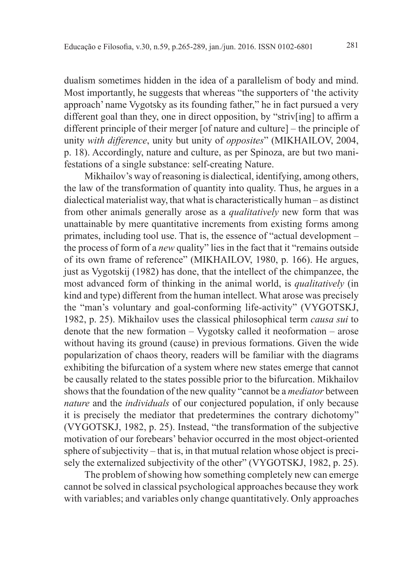dualism sometimes hidden in the idea of a parallelism of body and mind. Most importantly, he suggests that whereas "the supporters of 'the activity approach' name Vygotsky as its founding father," he in fact pursued a very different goal than they, one in direct opposition, by "striv[ing] to affirm a different principle of their merger [of nature and culture] – the principle of unity *with difference*, unity but unity of *opposites*" (MIKHAILOV, 2004, p. 18). Accordingly, nature and culture, as per Spinoza, are but two manifestations of a single substance: self-creating Nature.

Mikhailov's way of reasoning is dialectical, identifying, among others, the law of the transformation of quantity into quality. Thus, he argues in a dialectical materialist way, that what is characteristically human – as distinct from other animals generally arose as a *qualitatively* new form that was unattainable by mere quantitative increments from existing forms among primates, including tool use. That is, the essence of "actual development – the process of form of a *new* quality" lies in the fact that it "remains outside of its own frame of reference" (MIKHAILOV, 1980, p. 166). He argues, just as Vygotskij (1982) has done, that the intellect of the chimpanzee, the most advanced form of thinking in the animal world, is *qualitatively* (in kind and type) different from the human intellect. What arose was precisely the "man's voluntary and goal-conforming life-activity" (VYGOTSKJ, 1982, p. 25). Mikhailov uses the classical philosophical term *causa sui* to denote that the new formation – Vygotsky called it neoformation – arose without having its ground (cause) in previous formations. Given the wide popularization of chaos theory, readers will be familiar with the diagrams exhibiting the bifurcation of a system where new states emerge that cannot be causally related to the states possible prior to the bifurcation. Mikhailov shows that the foundation of the new quality "cannot be a *mediator* between *nature* and the *individuals* of our conjectured population, if only because it is precisely the mediator that predetermines the contrary dichotomy" (VYGOTSKJ, 1982, p. 25). Instead, "the transformation of the subjective motivation of our forebears' behavior occurred in the most object-oriented sphere of subjectivity – that is, in that mutual relation whose object is precisely the externalized subjectivity of the other" (VYGOTSKJ, 1982, p. 25).

The problem of showing how something completely new can emerge cannot be solved in classical psychological approaches because they work with variables; and variables only change quantitatively. Only approaches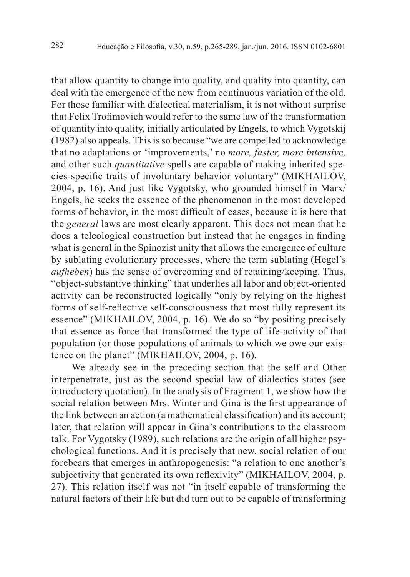that allow quantity to change into quality, and quality into quantity, can deal with the emergence of the new from continuous variation of the old. For those familiar with dialectical materialism, it is not without surprise that Felix Trofimovich would refer to the same law of the transformation of quantity into quality, initially articulated by Engels, to which Vygotskij (1982) also appeals. This is so because "we are compelled to acknowledge that no adaptations or 'improvements,' no *more, faster, more intensive,*  and other such *quantitative* spells are capable of making inherited species-specific traits of involuntary behavior voluntary" (MIKHAILOV, 2004, p. 16). And just like Vygotsky, who grounded himself in Marx/ Engels, he seeks the essence of the phenomenon in the most developed forms of behavior, in the most difficult of cases, because it is here that the *general* laws are most clearly apparent. This does not mean that he does a teleological construction but instead that he engages in finding what is general in the Spinozist unity that allows the emergence of culture by sublating evolutionary processes, where the term sublating (Hegel's *aufheben*) has the sense of overcoming and of retaining/keeping. Thus, "object-substantive thinking" that underlies all labor and object-oriented activity can be reconstructed logically "only by relying on the highest forms of self-reflective self-consciousness that most fully represent its essence" (MIKHAILOV, 2004, p. 16). We do so "by positing precisely that essence as force that transformed the type of life-activity of that population (or those populations of animals to which we owe our existence on the planet" (MIKHAILOV, 2004, p. 16).

We already see in the preceding section that the self and Other interpenetrate, just as the second special law of dialectics states (see introductory quotation). In the analysis of Fragment 1, we show how the social relation between Mrs. Winter and Gina is the first appearance of the link between an action (a mathematical classification) and its account; later, that relation will appear in Gina's contributions to the classroom talk. For Vygotsky (1989), such relations are the origin of all higher psychological functions. And it is precisely that new, social relation of our forebears that emerges in anthropogenesis: "a relation to one another's subjectivity that generated its own reflexivity" (MIKHAILOV, 2004, p. 27). This relation itself was not "in itself capable of transforming the natural factors of their life but did turn out to be capable of transforming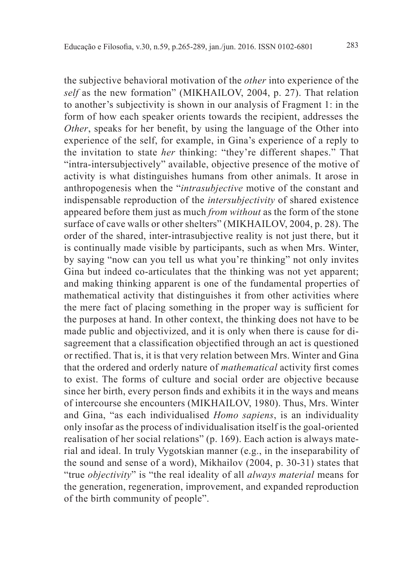the subjective behavioral motivation of the *other* into experience of the *self* as the new formation" (MIKHAILOV, 2004, p. 27). That relation to another's subjectivity is shown in our analysis of Fragment 1: in the form of how each speaker orients towards the recipient, addresses the *Other*, speaks for her benefit, by using the language of the Other into experience of the self, for example, in Gina's experience of a reply to the invitation to state *her* thinking: "they're different shapes." That "intra-intersubjectively" available, objective presence of the motive of activity is what distinguishes humans from other animals. It arose in anthropogenesis when the "*intrasubjective* motive of the constant and indispensable reproduction of the *intersubjectivity* of shared existence appeared before them just as much *from without* as the form of the stone surface of cave walls or other shelters" (MIKHAILOV, 2004, p. 28). The order of the shared, inter-intrasubjective reality is not just there, but it is continually made visible by participants, such as when Mrs. Winter, by saying "now can you tell us what you're thinking" not only invites Gina but indeed co-articulates that the thinking was not yet apparent; and making thinking apparent is one of the fundamental properties of mathematical activity that distinguishes it from other activities where the mere fact of placing something in the proper way is sufficient for the purposes at hand. In other context, the thinking does not have to be made public and objectivized, and it is only when there is cause for disagreement that a classification objectified through an act is questioned or rectified. That is, it is that very relation between Mrs. Winter and Gina that the ordered and orderly nature of *mathematical* activity first comes to exist. The forms of culture and social order are objective because since her birth, every person finds and exhibits it in the ways and means of intercourse she encounters (MIKHAILOV, 1980). Thus, Mrs. Winter and Gina, "as each individualised *Homo sapiens*, is an individuality only insofar as the process of individualisation itself is the goal-oriented realisation of her social relations" (p. 169). Each action is always material and ideal. In truly Vygotskian manner (e.g., in the inseparability of the sound and sense of a word), Mikhailov (2004, p. 30-31) states that "true *objectivity*" is "the real ideality of all *always material* means for the generation, regeneration, improvement, and expanded reproduction of the birth community of people".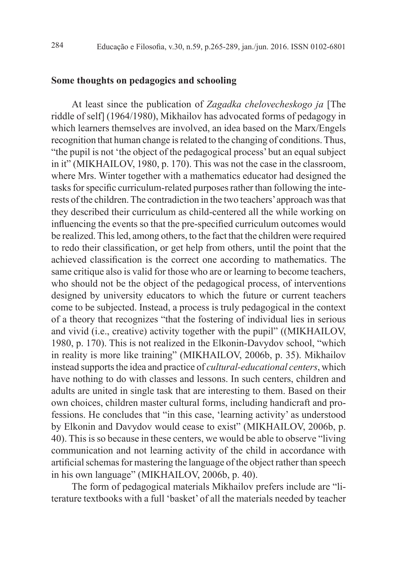#### **Some thoughts on pedagogics and schooling**

At least since the publication of *Zagadka chelovecheskogo ja* [The riddle of self] (1964/1980), Mikhailov has advocated forms of pedagogy in which learners themselves are involved, an idea based on the Marx/Engels recognition that human change is related to the changing of conditions. Thus, "the pupil is not 'the object of the pedagogical process' but an equal subject in it" (MIKHAILOV, 1980, p. 170). This was not the case in the classroom, where Mrs. Winter together with a mathematics educator had designed the tasks for specific curriculum-related purposes rather than following the interests of the children. The contradiction in the two teachers' approach was that they described their curriculum as child-centered all the while working on influencing the events so that the pre-specified curriculum outcomes would be realized. This led, among others, to the fact that the children were required to redo their classification, or get help from others, until the point that the achieved classification is the correct one according to mathematics. The same critique also is valid for those who are or learning to become teachers, who should not be the object of the pedagogical process, of interventions designed by university educators to which the future or current teachers come to be subjected. Instead, a process is truly pedagogical in the context of a theory that recognizes "that the fostering of individual lies in serious and vivid (i.e., creative) activity together with the pupil" ((MIKHAILOV, 1980, p. 170). This is not realized in the Elkonin-Davydov school, "which in reality is more like training" (MIKHAILOV, 2006b, p. 35). Mikhailov instead supports the idea and practice of *cultural-educational centers*, which have nothing to do with classes and lessons. In such centers, children and adults are united in single task that are interesting to them. Based on their own choices, children master cultural forms, including handicraft and professions. He concludes that "in this case, 'learning activity' as understood by Elkonin and Davydov would cease to exist" (MIKHAILOV, 2006b, p. 40). This is so because in these centers, we would be able to observe "living communication and not learning activity of the child in accordance with artificial schemas for mastering the language of the object rather than speech in his own language" (MIKHAILOV, 2006b, p. 40).

The form of pedagogical materials Mikhailov prefers include are "literature textbooks with a full 'basket' of all the materials needed by teacher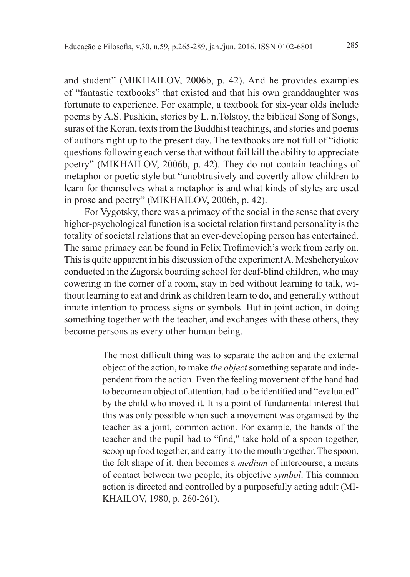and student" (MIKHAILOV, 2006b, p. 42). And he provides examples of "fantastic textbooks" that existed and that his own granddaughter was fortunate to experience. For example, a textbook for six-year olds include poems by A.S. Pushkin, stories by L. n.Tolstoy, the biblical Song of Songs, suras of the Koran, texts from the Buddhist teachings, and stories and poems of authors right up to the present day. The textbooks are not full of "idiotic questions following each verse that without fail kill the ability to appreciate poetry" (MIKHAILOV, 2006b, p. 42). They do not contain teachings of metaphor or poetic style but "unobtrusively and covertly allow children to learn for themselves what a metaphor is and what kinds of styles are used in prose and poetry" (MIKHAILOV, 2006b, p. 42).

For Vygotsky, there was a primacy of the social in the sense that every higher-psychological function is a societal relation first and personality is the totality of societal relations that an ever-developing person has entertained. The same primacy can be found in Felix Trofi movich's work from early on. This is quite apparent in his discussion of the experiment A. Meshcheryakov conducted in the Zagorsk boarding school for deaf-blind children, who may cowering in the corner of a room, stay in bed without learning to talk, without learning to eat and drink as children learn to do, and generally without innate intention to process signs or symbols. But in joint action, in doing something together with the teacher, and exchanges with these others, they become persons as every other human being.

> The most difficult thing was to separate the action and the external object of the action, to make *the object* something separate and independent from the action. Even the feeling movement of the hand had to become an object of attention, had to be identified and "evaluated" by the child who moved it. It is a point of fundamental interest that this was only possible when such a movement was organised by the teacher as a joint, common action. For example, the hands of the teacher and the pupil had to "find," take hold of a spoon together, scoop up food together, and carry it to the mouth together. The spoon, the felt shape of it, then becomes a *medium* of intercourse, a means of contact between two people, its objective *symbol*. This common action is directed and controlled by a purposefully acting adult (MI-KHAILOV, 1980, p. 260-261).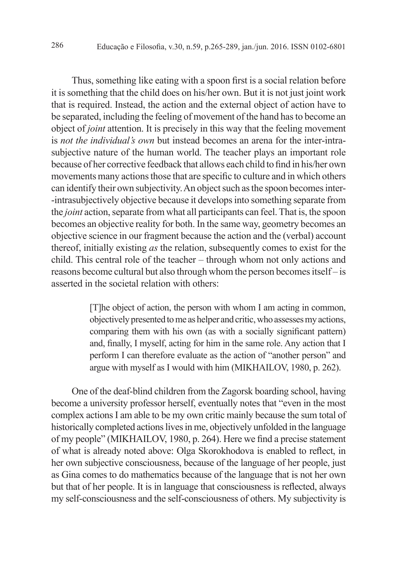Thus, something like eating with a spoon first is a social relation before it is something that the child does on his/her own. But it is not just joint work that is required. Instead, the action and the external object of action have to be separated, including the feeling of movement of the hand has to become an object of *joint* attention. It is precisely in this way that the feeling movement is *not the individual's own* but instead becomes an arena for the inter-intrasubjective nature of the human world. The teacher plays an important role because of her corrective feedback that allows each child to find in his/her own movements many actions those that are specific to culture and in which others can identify their own subjectivity. An object such as the spoon becomes inter- -intrasubjectively objective because it develops into something separate from the *joint* action, separate from what all participants can feel. That is, the spoon becomes an objective reality for both. In the same way, geometry becomes an objective science in our fragment because the action and the (verbal) account thereof, initially existing *as* the relation, subsequently comes to exist for the child. This central role of the teacher – through whom not only actions and reasons become cultural but also through whom the person becomes itself – is asserted in the societal relation with others:

> [T]he object of action, the person with whom I am acting in common, objectively presented to me as helper and critic, who assesses my actions, comparing them with his own (as with a socially significant pattern) and, finally, I myself, acting for him in the same role. Any action that I perform I can therefore evaluate as the action of "another person" and argue with myself as I would with him (MIKHAILOV, 1980, p. 262).

One of the deaf-blind children from the Zagorsk boarding school, having become a university professor herself, eventually notes that "even in the most complex actions I am able to be my own critic mainly because the sum total of historically completed actions lives in me, objectively unfolded in the language of my people" (MIKHAILOV, 1980, p. 264). Here we find a precise statement of what is already noted above: Olga Skorokhodova is enabled to reflect, in her own subjective consciousness, because of the language of her people, just as Gina comes to do mathematics because of the language that is not her own but that of her people. It is in language that consciousness is reflected, always my self-consciousness and the self-consciousness of others. My subjectivity is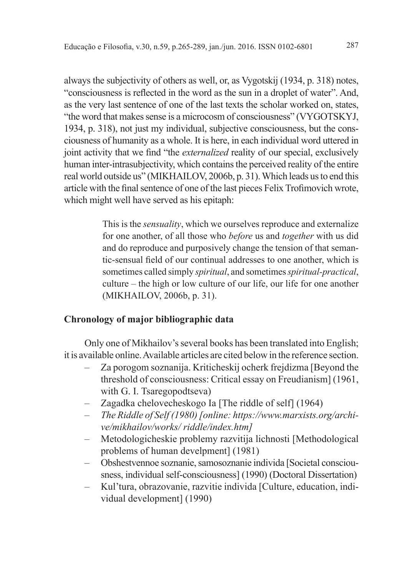always the subjectivity of others as well, or, as Vygotskij (1934, p. 318) notes, "consciousness is reflected in the word as the sun in a droplet of water". And, as the very last sentence of one of the last texts the scholar worked on, states, "the word that makes sense is a microcosm of consciousness" (VYGOTSKYJ, 1934, p. 318), not just my individual, subjective consciousness, but the consciousness of humanity as a whole. It is here, in each individual word uttered in joint activity that we find "the *externalized* reality of our special, exclusively human inter-intrasubjectivity, which contains the perceived reality of the entire real world outside us" (MIKHAILOV, 2006b, p. 31). Which leads us to end this article with the final sentence of one of the last pieces Felix Trofimovich wrote, which might well have served as his epitaph:

> This is the *sensuality*, which we ourselves reproduce and externalize for one another, of all those who *before* us and *together* with us did and do reproduce and purposively change the tension of that semantic-sensual field of our continual addresses to one another, which is sometimes called simply *spiritual*, and sometimes *spiritual-practical*, culture – the high or low culture of our life, our life for one another (MIKHAILOV, 2006b, p. 31).

## **Chronology of major bibliographic data**

Only one of Mikhailov's several books has been translated into English; it is available online. Available articles are cited below in the reference section.

- Za porogom soznanija. Kriticheskij ocherk frejdizma [Beyond the threshold of consciousness: Critical essay on Freudianism] (1961, with G. I. Tsaregopodtseva)
- Zagadka chelovecheskogo Ia [The riddle of self] (1964)
- – *The Riddle of Self (1980) [online: https://www.marxists.org/archive/mikhailov/works/ riddle/index.htm]*
- Metodologicheskie problemy razvitija lichnosti [Methodological problems of human develpment] (1981)
- Obshestvennoe soznanie, samosoznanie individa [Societal consciousness, individual self-consciousness] (1990) (Doctoral Dissertation)
- Kul'tura, obrazovanie, razvitie individa [Culture, education, individual development] (1990)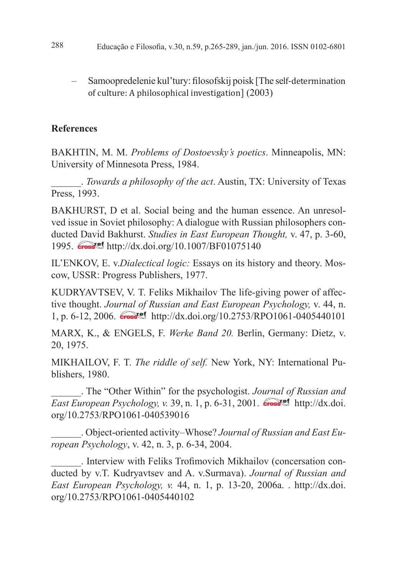- 288 Educação e Filosofia, v.30, n.59, p.265-289, jan./jun. 2016. ISSN 0102-6801
	- Samoopredelenie kul'tury: fi losofskij poisk [The self-determination of culture: A philosophical investigation] (2003)

# **References**

BAKHTIN, M. M. *Problems of Dostoevsky's poetics*. Minneapolis, MN: University of Minnesota Press, 1984.

\_\_\_\_\_\_. *Towards a philosophy of the act*. Austin, TX: University of Texas Press, 1993.

BAKHURST, D et al. Social being and the human essence. An unresolved issue in Soviet philosophy: A dialogue with Russian philosophers conducted David Bakhurst. *Studies in East European Thought,* v. 47, p. 3-60, 1995. **Crosset** http://dx.doi.org/10.1007/BF01075140

IL'ENKOV, E. v.*Dialectical logic:* Essays on its history and theory. Moscow, USSR: Progress Publishers, 1977.

KUDRYAVTSEV, V. T. Feliks Mikhailov The life-giving power of affective thought. *Journal of Russian and East European Psychology,* v. 44, n. 1, p. 6-12, 2006. **Crosset** http://dx.doi.org/10.2753/RPO1061-0405440101

MARX, K., & ENGELS, F. *Werke Band 20.* Berlin, Germany: Dietz, v. 20, 1975.

MIKHAILOV, F. T. *The riddle of self.* New York, NY: International Publishers, 1980.

\_\_\_\_\_\_. The "Other Within" for the psychologist. *Journal of Russian and East European Psychology, v.* 39, n. 1, p. 6-31, 2001. **Crosset** http://dx.doi. org/10.2753/RPO1061-040539016

\_\_\_\_\_\_. Object-oriented activity–Whose? *Journal of Russian and East European Psychology*, v. 42, n. 3, p. 6-34, 2004.

. Interview with Feliks Trofimovich Mikhailov (concersation conducted by v.T. Kudryavtsev and A. v.Surmava). *Journal of Russian and East European Psychology, v.* 44, n. 1, p. 13-20, 2006a. . http://dx.doi. org/10.2753/RPO1061-0405440102